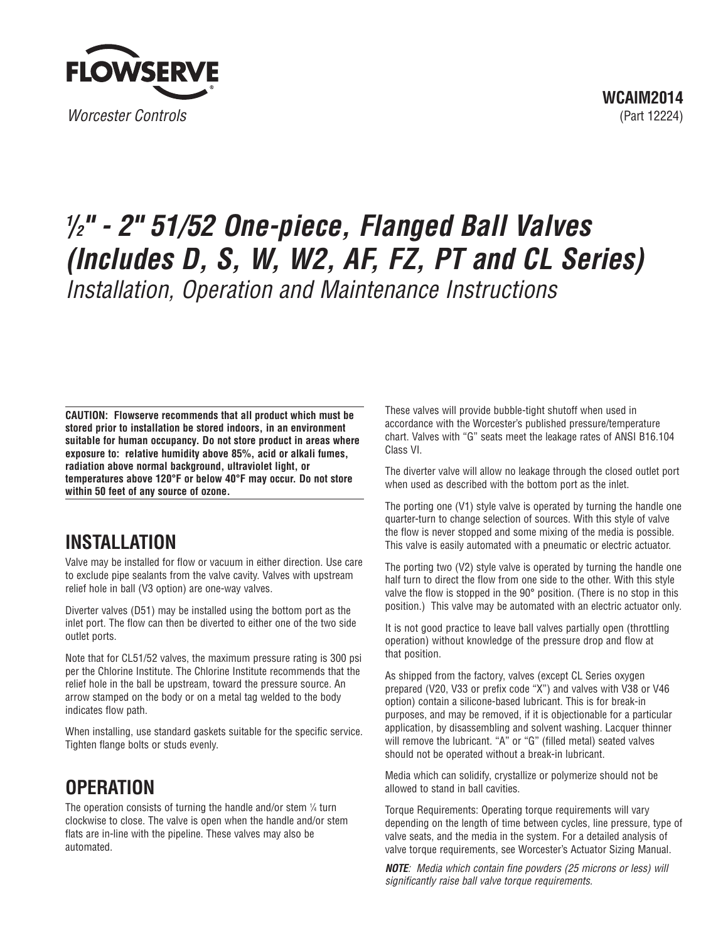

# **1 /2" - 2" 51/52 One-piece, Flanged Ball Valves (Includes D, S, W, W2, AF, FZ, PT and CL Series)** Installation, Operation and Maintenance Instructions

**CAUTION: Flowserve recommends that all product which must be stored prior to installation be stored indoors, in an environment suitable for human occupancy. Do not store product in areas where exposure to: relative humidity above 85%, acid or alkali fumes, radiation above normal background, ultraviolet light, or temperatures above 120°F or below 40°F may occur. Do not store within 50 feet of any source of ozone.**

### **INSTALLATION**

Valve may be installed for flow or vacuum in either direction. Use care to exclude pipe sealants from the valve cavity. Valves with upstream relief hole in ball (V3 option) are one-way valves.

Diverter valves (D51) may be installed using the bottom port as the inlet port. The flow can then be diverted to either one of the two side outlet ports.

Note that for CL51/52 valves, the maximum pressure rating is 300 psi per the Chlorine Institute. The Chlorine Institute recommends that the relief hole in the ball be upstream, toward the pressure source. An arrow stamped on the body or on a metal tag welded to the body indicates flow path.

When installing, use standard gaskets suitable for the specific service. Tighten flange bolts or studs evenly.

## **OPERATION**

The operation consists of turning the handle and/or stem  $\frac{1}{4}$  turn clockwise to close. The valve is open when the handle and/or stem flats are in-line with the pipeline. These valves may also be automated.

These valves will provide bubble-tight shutoff when used in accordance with the Worcester's published pressure/temperature chart. Valves with "G" seats meet the leakage rates of ANSI B16.104 Class VI.

The diverter valve will allow no leakage through the closed outlet port when used as described with the bottom port as the inlet.

The porting one (V1) style valve is operated by turning the handle one quarter-turn to change selection of sources. With this style of valve the flow is never stopped and some mixing of the media is possible. This valve is easily automated with a pneumatic or electric actuator.

The porting two (V2) style valve is operated by turning the handle one half turn to direct the flow from one side to the other. With this style valve the flow is stopped in the 90° position. (There is no stop in this position.) This valve may be automated with an electric actuator only.

It is not good practice to leave ball valves partially open (throttling operation) without knowledge of the pressure drop and flow at that position.

As shipped from the factory, valves (except CL Series oxygen prepared (V20, V33 or prefix code "X") and valves with V38 or V46 option) contain a silicone-based lubricant. This is for break-in purposes, and may be removed, if it is objectionable for a particular application, by disassembling and solvent washing. Lacquer thinner will remove the lubricant. "A" or "G" (filled metal) seated valves should not be operated without a break-in lubricant.

Media which can solidify, crystallize or polymerize should not be allowed to stand in ball cavities.

Torque Requirements: Operating torque requirements will vary depending on the length of time between cycles, line pressure, type of valve seats, and the media in the system. For a detailed analysis of valve torque requirements, see Worcester's Actuator Sizing Manual.

**NOTE**: Media which contain fine powders (25 microns or less) will significantly raise ball valve torque requirements.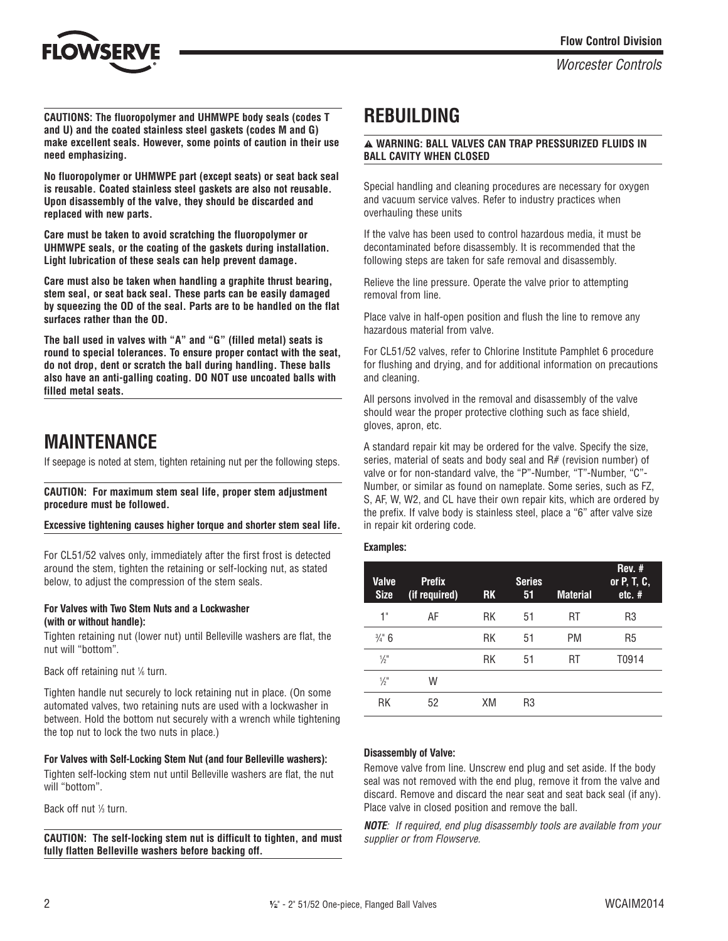

**CAUTIONS: The fluoropolymer and UHMWPE body seals (codes T and U) and the coated stainless steel gaskets (codes M and G) make excellent seals. However, some points of caution in their use need emphasizing.**

**No fluoropolymer or UHMWPE part (except seats) or seat back seal is reusable. Coated stainless steel gaskets are also not reusable. Upon disassembly of the valve, they should be discarded and replaced with new parts.**

**Care must be taken to avoid scratching the fluoropolymer or UHMWPE seals, or the coating of the gaskets during installation. Light lubrication of these seals can help prevent damage.**

**Care must also be taken when handling a graphite thrust bearing, stem seal, or seat back seal. These parts can be easily damaged by squeezing the OD of the seal. Parts are to be handled on the flat surfaces rather than the OD.**

**The ball used in valves with "A" and "G" (filled metal) seats is round to special tolerances. To ensure proper contact with the seat, do not drop, dent or scratch the ball during handling. These balls also have an anti-galling coating. DO NOT use uncoated balls with filled metal seats.**

### **MAINTENANCE**

If seepage is noted at stem, tighten retaining nut per the following steps.

#### **CAUTION: For maximum stem seal life, proper stem adjustment procedure must be followed.**

#### **Excessive tightening causes higher torque and shorter stem seal life.**

For CL51/52 valves only, immediately after the first frost is detected around the stem, tighten the retaining or self-locking nut, as stated below, to adjust the compression of the stem seals.

#### **For Valves with Two Stem Nuts and a Lockwasher (with or without handle):**

Tighten retaining nut (lower nut) until Belleville washers are flat, the nut will "bottom".

Back off retaining nut  $%$  turn.

Tighten handle nut securely to lock retaining nut in place. (On some automated valves, two retaining nuts are used with a lockwasher in between. Hold the bottom nut securely with a wrench while tightening the top nut to lock the two nuts in place.)

#### **For Valves with Self-Locking Stem Nut (and four Belleville washers):**

Tighten self-locking stem nut until Belleville washers are flat, the nut will "bottom".

Back off nut <sup>1/3</sup> turn.

**CAUTION: The self-locking stem nut is difficult to tighten, and must fully flatten Belleville washers before backing off.**

### **REBUILDING**

#### a **WARNING: BALL VALVES CAN TRAP PRESSURIZED FLUIDS IN BALL CAVITY WHEN CLOSED**

Special handling and cleaning procedures are necessary for oxygen and vacuum service valves. Refer to industry practices when overhauling these units

If the valve has been used to control hazardous media, it must be decontaminated before disassembly. It is recommended that the following steps are taken for safe removal and disassembly.

Relieve the line pressure. Operate the valve prior to attempting removal from line.

Place valve in half-open position and flush the line to remove any hazardous material from valve.

For CL51/52 valves, refer to Chlorine Institute Pamphlet 6 procedure for flushing and drying, and for additional information on precautions and cleaning.

All persons involved in the removal and disassembly of the valve should wear the proper protective clothing such as face shield, gloves, apron, etc.

A standard repair kit may be ordered for the valve. Specify the size, series, material of seats and body seal and R# (revision number) of valve or for non-standard valve, the "P"-Number, "T"-Number, "C"- Number, or similar as found on nameplate. Some series, such as FZ, S, AF, W, W2, and CL have their own repair kits, which are ordered by the prefix. If valve body is stainless steel, place a "6" after valve size in repair kit ordering code.

### **Examples:**

| <b>Valve</b><br><b>Size</b> | <b>Prefix</b><br>(if required) | <b>RK</b> | <b>Series</b><br>51 | <b>Material</b> | Rev. #<br>or P, T, C,<br>$etc.$ # |
|-----------------------------|--------------------------------|-----------|---------------------|-----------------|-----------------------------------|
| 1"                          | AF                             | RK        | 51                  | RT              | R3                                |
| $\frac{3}{4}$ 6             |                                | RK        | 51                  | PM              | R <sub>5</sub>                    |
| $\frac{1}{2}$               |                                | RK        | 51                  | RT              | T0914                             |
| $\frac{1}{2}$               | W                              |           |                     |                 |                                   |
| RK                          | 52                             | XM        | R3                  |                 |                                   |

### **Disassembly of Valve:**

Remove valve from line. Unscrew end plug and set aside. If the body seal was not removed with the end plug, remove it from the valve and discard. Remove and discard the near seat and seat back seal (if any). Place valve in closed position and remove the ball.

**NOTE**: If required, end plug disassembly tools are available from your supplier or from Flowserve.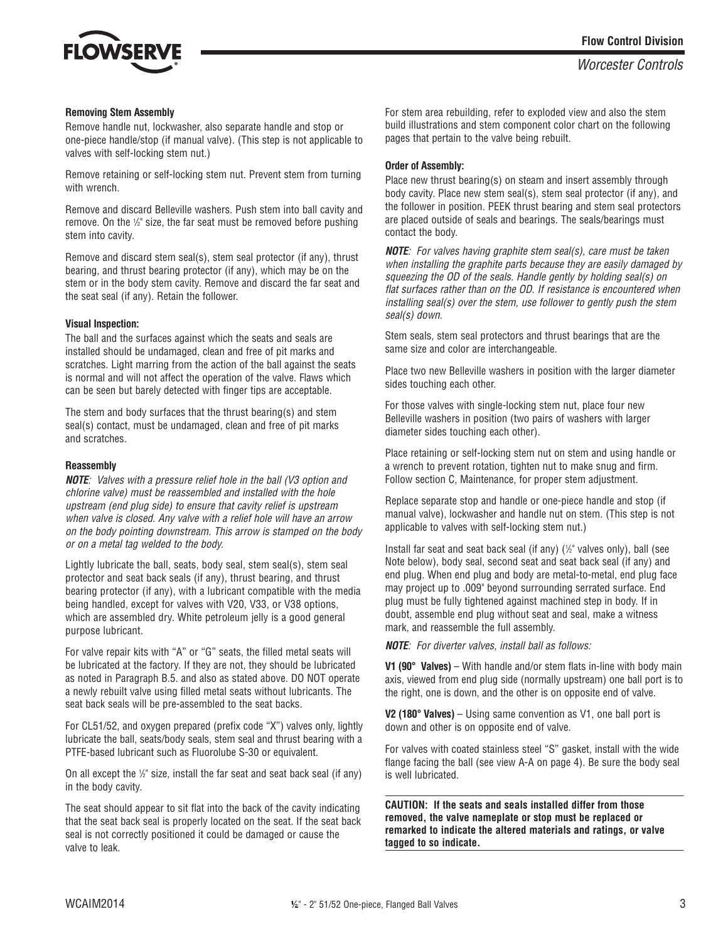

#### **Removing Stem Assembly**

Remove handle nut, lockwasher, also separate handle and stop or one-piece handle/stop (if manual valve). (This step is not applicable to valves with self-locking stem nut.)

Remove retaining or self-locking stem nut. Prevent stem from turning with wrench.

Remove and discard Belleville washers. Push stem into ball cavity and remove. On the  $\frac{1}{2}$  size, the far seat must be removed before pushing stem into cavity.

Remove and discard stem seal(s), stem seal protector (if any), thrust bearing, and thrust bearing protector (if any), which may be on the stem or in the body stem cavity. Remove and discard the far seat and the seat seal (if any). Retain the follower.

#### **Visual Inspection:**

The ball and the surfaces against which the seats and seals are installed should be undamaged, clean and free of pit marks and scratches. Light marring from the action of the ball against the seats is normal and will not affect the operation of the valve. Flaws which can be seen but barely detected with finger tips are acceptable.

The stem and body surfaces that the thrust bearing(s) and stem seal(s) contact, must be undamaged, clean and free of pit marks and scratches.

#### **Reassembly**

**NOTE**: Valves with a pressure relief hole in the ball (V3 option and chlorine valve) must be reassembled and installed with the hole upstream (end plug side) to ensure that cavity relief is upstream when valve is closed. Any valve with a relief hole will have an arrow on the body pointing downstream. This arrow is stamped on the body or on a metal tag welded to the body.

Lightly lubricate the ball, seats, body seal, stem seal(s), stem seal protector and seat back seals (if any), thrust bearing, and thrust bearing protector (if any), with a lubricant compatible with the media being handled, except for valves with V20, V33, or V38 options, which are assembled dry. White petroleum jelly is a good general purpose lubricant.

For valve repair kits with "A" or "G" seats, the filled metal seats will be lubricated at the factory. If they are not, they should be lubricated as noted in Paragraph B.5. and also as stated above. DO NOT operate a newly rebuilt valve using filled metal seats without lubricants. The seat back seals will be pre-assembled to the seat backs.

For CL51/52, and oxygen prepared (prefix code "X") valves only, lightly lubricate the ball, seats/body seals, stem seal and thrust bearing with a PTFE-based lubricant such as Fluorolube S-30 or equivalent.

On all except the  $\frac{1}{2}$ " size, install the far seat and seat back seal (if any) in the body cavity.

The seat should appear to sit flat into the back of the cavity indicating that the seat back seal is properly located on the seat. If the seat back seal is not correctly positioned it could be damaged or cause the valve to leak.

For stem area rebuilding, refer to exploded view and also the stem build illustrations and stem component color chart on the following pages that pertain to the valve being rebuilt.

#### **Order of Assembly:**

Place new thrust bearing(s) on steam and insert assembly through body cavity. Place new stem seal(s), stem seal protector (if any), and the follower in position. PEEK thrust bearing and stem seal protectors are placed outside of seals and bearings. The seals/bearings must contact the body.

**NOTE**: For valves having graphite stem seal(s), care must be taken when installing the graphite parts because they are easily damaged by squeezing the OD of the seals. Handle gently by holding seal(s) on flat surfaces rather than on the OD. If resistance is encountered when installing seal(s) over the stem, use follower to gently push the stem seal(s) down.

Stem seals, stem seal protectors and thrust bearings that are the same size and color are interchangeable.

Place two new Belleville washers in position with the larger diameter sides touching each other.

For those valves with single-locking stem nut, place four new Belleville washers in position (two pairs of washers with larger diameter sides touching each other).

Place retaining or self-locking stem nut on stem and using handle or a wrench to prevent rotation, tighten nut to make snug and firm. Follow section C, Maintenance, for proper stem adjustment.

Replace separate stop and handle or one-piece handle and stop (if manual valve), lockwasher and handle nut on stem. (This step is not applicable to valves with self-locking stem nut.)

Install far seat and seat back seal (if any) (1 /2" valves only), ball (see Note below), body seal, second seat and seat back seal (if any) and end plug. When end plug and body are metal-to-metal, end plug face may project up to .009" beyond surrounding serrated surface. End plug must be fully tightened against machined step in body. If in doubt, assemble end plug without seat and seal, make a witness mark, and reassemble the full assembly.

**NOTE**: For diverter valves, install ball as follows:

**V1 (90° Valves)** – With handle and/or stem flats in-line with body main axis, viewed from end plug side (normally upstream) one ball port is to the right, one is down, and the other is on opposite end of valve.

**V2 (180° Valves)** – Using same convention as V1, one ball port is down and other is on opposite end of valve.

For valves with coated stainless steel "S" gasket, install with the wide flange facing the ball (see view A-A on page 4). Be sure the body seal is well lubricated.

**CAUTION: If the seats and seals installed differ from those removed, the valve nameplate or stop must be replaced or remarked to indicate the altered materials and ratings, or valve tagged to so indicate.**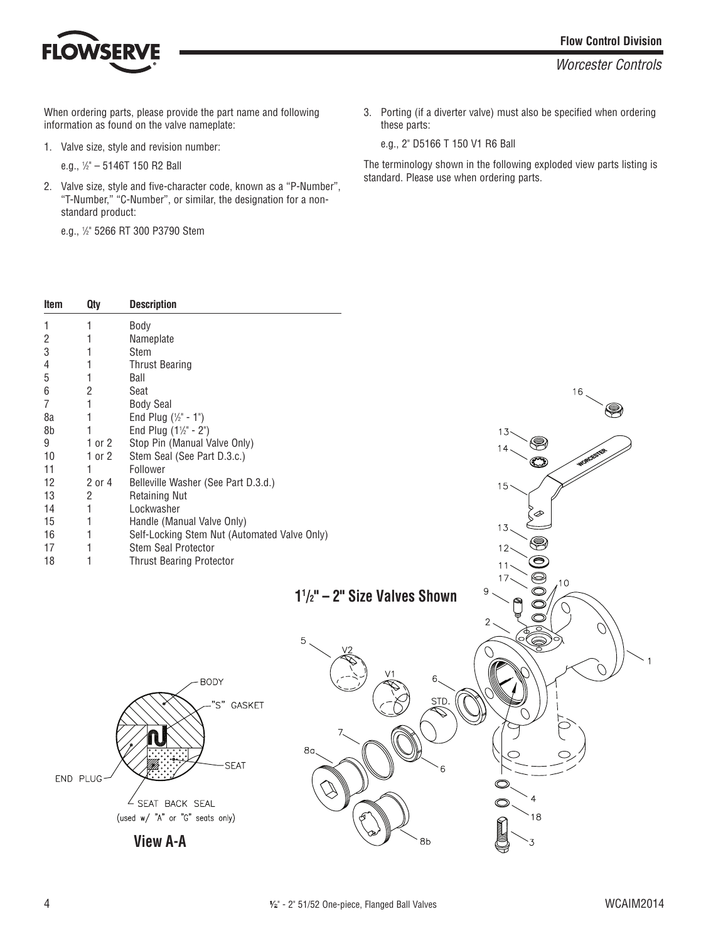

When ordering parts, please provide the part name and following information as found on the valve nameplate:

1. Valve size, style and revision number:

e.g., 1 /2" – 5146T 150 R2 Ball

2. Valve size, style and five-character code, known as a "P-Number", "T-Number," "C-Number", or similar, the designation for a nonstandard product:

e.g., 1 /2" 5266 RT 300 P3790 Stem

3. Porting (if a diverter valve) must also be specified when ordering these parts:

e.g., 2" D5166 T 150 V1 R6 Ball

The terminology shown in the following exploded view parts listing is standard. Please use when ordering parts.

| Item           | <b>Qty</b>     | <b>Description</b>                           |                                         |                                                 |
|----------------|----------------|----------------------------------------------|-----------------------------------------|-------------------------------------------------|
| 1              | 1              | Body                                         |                                         |                                                 |
| $\overline{2}$ | 1              | Nameplate                                    |                                         |                                                 |
| 3              | 1              | Stem                                         |                                         |                                                 |
| 4              | 1              | <b>Thrust Bearing</b>                        |                                         |                                                 |
| 5              | 1              | Ball                                         |                                         |                                                 |
| 6              | $\overline{2}$ | Seat                                         |                                         | 16                                              |
| 7              | 1              | <b>Body Seal</b>                             |                                         | 9                                               |
| 8a             | 1              | End Plug $(\frac{1}{2} - 1)$                 |                                         |                                                 |
| 8b             | 1              | End Plug $(1\frac{1}{2} - 2^{n})$            |                                         | 13                                              |
| 9              | $1$ or $2$     | Stop Pin (Manual Valve Only)                 |                                         | S<br>14                                         |
| 10             | $1$ or $2$     | Stem Seal (See Part D.3.c.)                  |                                         | O                                               |
| 11             | 1              | Follower                                     |                                         |                                                 |
| 12             | 2 or 4         | Belleville Washer (See Part D.3.d.)          |                                         | 15                                              |
| 13             | $\overline{2}$ | <b>Retaining Nut</b>                         |                                         |                                                 |
| 14             | 1              | Lockwasher                                   |                                         |                                                 |
| 15             | 1              | Handle (Manual Valve Only)                   |                                         | 13.                                             |
| 16             | 1              | Self-Locking Stem Nut (Automated Valve Only) |                                         | ❀                                               |
| 17<br>18       | 1              | Stem Seal Protector                          |                                         | $12 -$                                          |
|                | 1              | <b>Thrust Bearing Protector</b>              |                                         | $\bm{\circledcirc}$<br>11                       |
|                |                |                                              |                                         | $\circledcirc$<br>17<br>,10                     |
|                |                |                                              | $1\frac{1}{2}$ " - 2" Size Valves Shown | 9<br>$\circledcirc$                             |
|                |                |                                              |                                         | $\bigcirc$<br>$\circledcirc$                    |
|                |                |                                              |                                         | $\mathbf{2}$                                    |
|                |                |                                              | 5                                       | '0(<br>$\bigotimes_{i=1}^{\infty} \mathbb{P}^i$ |
|                |                |                                              |                                         | O                                               |
|                |                |                                              |                                         |                                                 |
|                |                | <b>BODY</b>                                  | V1<br>6.                                |                                                 |
|                |                |                                              |                                         |                                                 |
|                |                | "S"<br>GASKET                                | STD.                                    |                                                 |
|                |                |                                              |                                         |                                                 |
|                |                |                                              |                                         |                                                 |
|                |                |                                              | 8 <sub>a</sub>                          |                                                 |
|                |                | <b>SEAT</b>                                  | 6                                       |                                                 |
|                | END PLUG-      |                                              |                                         | $\circledcirc$                                  |
|                |                |                                              |                                         |                                                 |
|                |                | $\angle$ SEAT BACK SEAL                      |                                         | $\bigcirc$                                      |
|                |                | (used w/ "A" or "G" seats only)              |                                         | 18                                              |
|                |                |                                              |                                         | <b>Command</b>                                  |
|                |                | <b>View A-A</b>                              | 8b                                      | $\cdot$ 3                                       |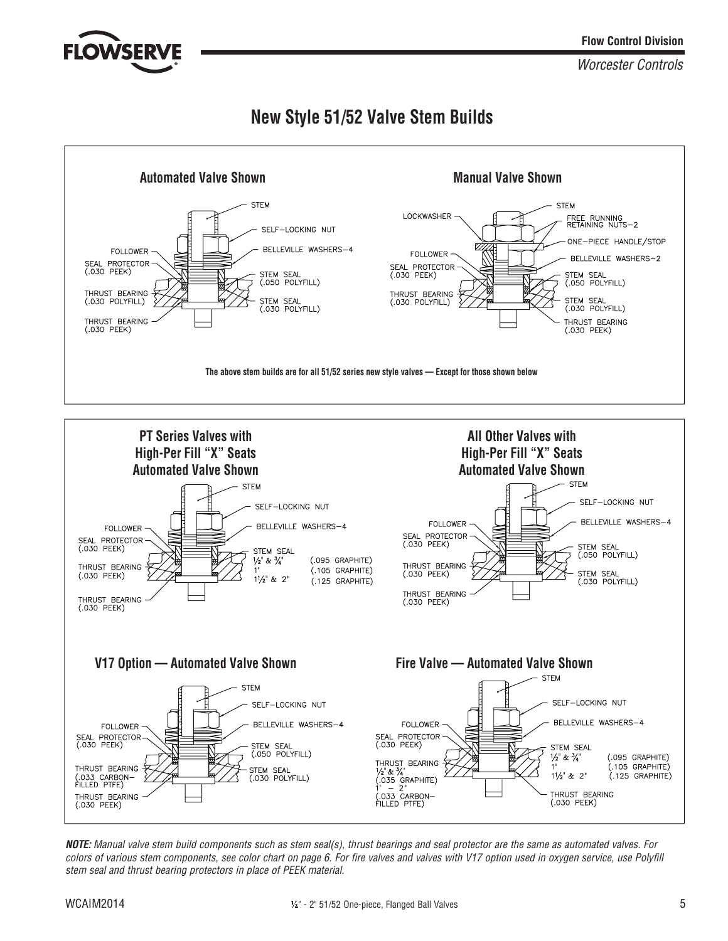

### **New Style 51/52 Valve Stem Builds**





**NOTE:** Manual valve stem build components such as stem seal(s), thrust bearings and seal protector are the same as automated valves. For colors of various stem components, see color chart on page 6. For fire valves and valves with V17 option used in oxygen service, use Polyfill stem seal and thrust bearing protectors in place of PEEK material.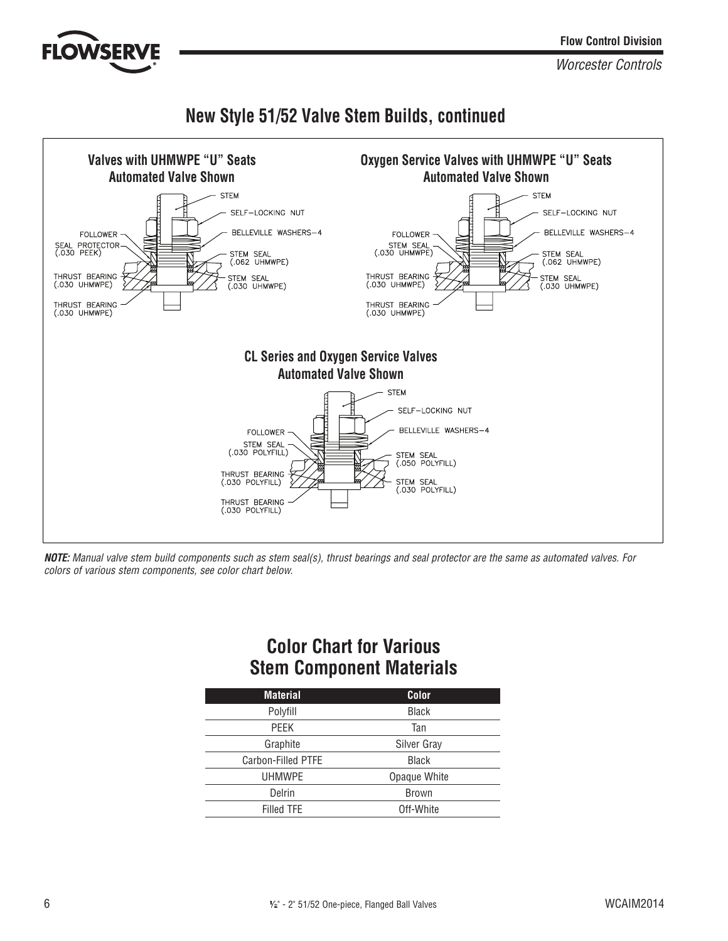### **New Style 51/52 Valve Stem Builds, continued**



**NOTE:** Manual valve stem build components such as stem seal(s), thrust bearings and seal protector are the same as automated valves. For colors of various stem components, see color chart below.

### **Color Chart for Various Stem Component Materials**

| <b>Material</b>    | Color        |
|--------------------|--------------|
| Polyfill           | <b>Black</b> |
| PEEK               | Tan          |
| Graphite           | Silver Gray  |
| Carbon-Filled PTFE | <b>Black</b> |
| <b>UHMWPE</b>      | Opaque White |
| Delrin             | Brown        |
| Filled TFE         | Off-White    |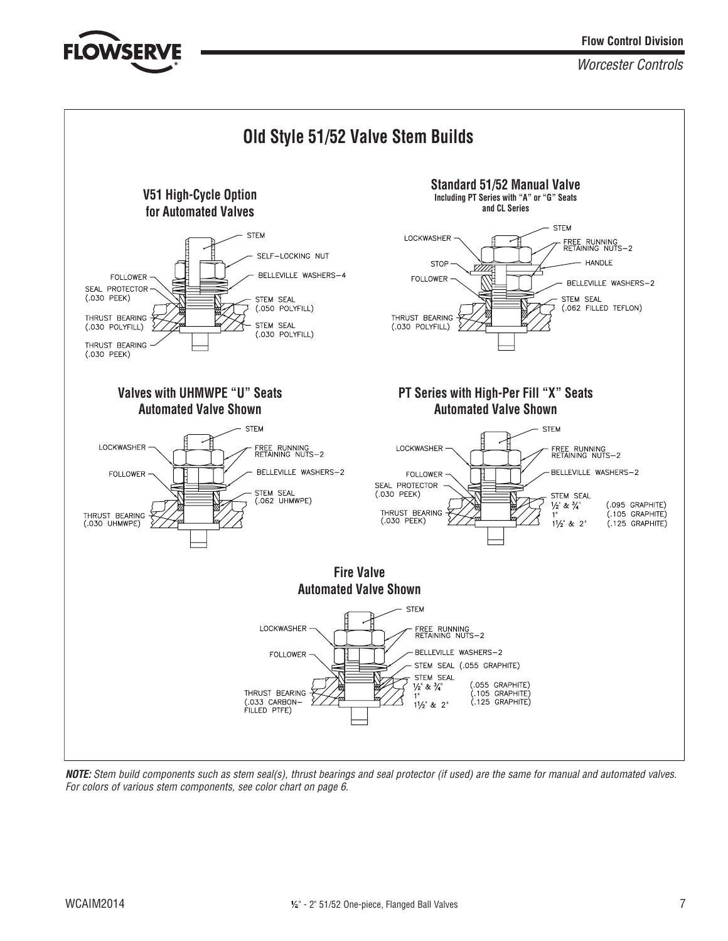**Flow Control Division**

Worcester Controls



**NOTE:** Stem build components such as stem seal(s), thrust bearings and seal protector (if used) are the same for manual and automated valves. For colors of various stem components, see color chart on page 6.

**FLOWSER**